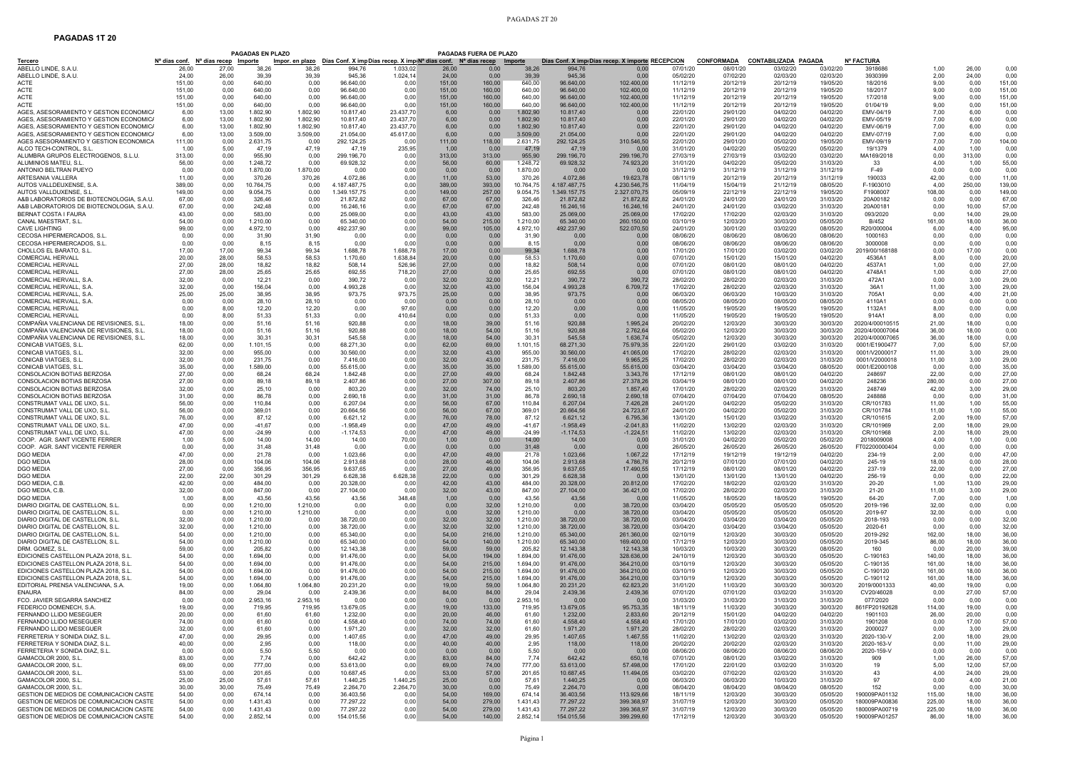## **PAGADAS 1T 20**

|                                                                                       |                  |                                                                      | <b>PAGADAS EN PLAZO</b> |                                                                              |                            |                        |                  | PAGADAS FUERA DE PLAZO                                  |                      |                            |                                                           |                      |                               |                                         |                      |                                  |                  |                |                  |
|---------------------------------------------------------------------------------------|------------------|----------------------------------------------------------------------|-------------------------|------------------------------------------------------------------------------|----------------------------|------------------------|------------------|---------------------------------------------------------|----------------------|----------------------------|-----------------------------------------------------------|----------------------|-------------------------------|-----------------------------------------|----------------------|----------------------------------|------------------|----------------|------------------|
| Tercero<br>ABELLO LINDE, S.A.U                                                        | 26.00            | N <sup>a</sup> dias conf. N <sup>a</sup> días recep Importe<br>27.00 | 38.26                   | Impor. en plazo Días Conf. X impDías recep. X imp(N <sup>a</sup> di<br>38.26 | 994.76                     | 1.033.02               | 26.00            | <u>s conf. N<sup>a</sup> días recep Importe</u><br>0.00 | 38,26                | 994.76                     | Días Conf. X imp. Días recep. X importe RECEPCION<br>0.00 | 07/01/20             | <u>CONFORMADA</u><br>08/01/20 | <b>CONTABILIZADA PAGADA</b><br>03/02/20 | 03/02/20             | <b>Nº FACTURA</b><br>3918686     | 1,00             | 26.00          | 0,00             |
| ABELLO LINDE, S.A.U                                                                   | 24.00            | 26,00                                                                | 39.39                   | 39.39                                                                        | 945,36                     | 1.024,14               | 24.00            | 0.00                                                    | 39.39                | 945.36                     | 0.00                                                      | 05/02/20             | 07/02/20                      | 02/03/20                                | 02/03/20             | 3930399                          | 2,00             | 24,00          | 0,00             |
| <b>ACTE</b><br>ACTE                                                                   | 151,00<br>151.00 | 0,00<br>0.00                                                         | 640,00<br>640,00        | 0,00<br>0.00                                                                 | 96.640,00<br>96.640,00     | 0,00<br>0.00           | 151,00<br>151.00 | 160,00<br>160.00                                        | 640,00<br>640,00     | 96.640,00<br>96.640.00     | 102.400,00<br>102.400.00                                  | 11/12/19<br>11/12/19 | 20/12/19<br>20/12/19          | 20/12/19<br>20/12/19                    | 19/05/20<br>19/05/20 | 18/2016<br>18/2017               | 9,00<br>9.00     | 0,00<br>0.00   | 151,00<br>151.00 |
| <b>ACTE</b>                                                                           | 151,00           | 0,00                                                                 | 640,00                  | 0,00                                                                         | 96.640,00                  | 0,00                   | 151,00           | 160.00                                                  | 640,00               | 96.640,00                  | 102.400,00                                                | 11/12/19             | 20/12/19                      | 20/12/19                                | 19/05/20             | 17/2018                          | 9,00             | 0,00           | 151,00           |
| <b>ACTE</b><br>AGES, ASESORAMIENTO Y GESTION ECONOMICA                                | 151,00<br>6.00   | 0.00<br>13.00                                                        | 640,00<br>1.802.90      | 0,00<br>1.802.90                                                             | 96.640,00<br>10.817,40     | 0,00<br>23.437,70      | 151,00<br>6.00   | 160,00<br>0.00                                          | 640,00<br>1.802.90   | 96.640,00<br>10.817.40     | 102.400,00<br>0.00                                        | 11/12/19<br>22/01/20 | 20/12/19<br>29/01/20          | 20/12/19<br>04/02/20                    | 19/05/20<br>04/02/20 | 01/04/19<br>FMV-04/19            | 9,00<br>7.00     | 0,00<br>6.00   | 151,00<br>0.00   |
| AGES, ASESORAMIENTO Y GESTION ECONOMICA                                               | 6,00             | 13,00                                                                | 1.802,90                | 1.802,90                                                                     | 10.817,40                  | 23.437,70              | 6,00             | 0,00                                                    | 1.802,90             | 10.817,40                  | 0.00                                                      | 22/01/20             | 29/01/20                      | 04/02/20                                | 04/02/20             | EMV-05/19                        | 7,00             | 6,00           | 0,00             |
| AGES, ASESORAMIENTO Y GESTION ECONOMIC<br>AGES, ASESORAMIENTO Y GESTION ECONOMIC      | 6,00<br>6,00     | 13,00<br>13,00                                                       | 1.802.90<br>3.509,00    | 1.802,90<br>3.509,00                                                         | 10.817,40<br>21.054,00     | 23.437.70<br>45.617.00 | 6.00<br>6.00     | 0,00<br>0,00                                            | 1.802,90<br>3.509,00 | 10.817.40<br>21.054,00     | 0.00<br>0.00                                              | 22/01/20<br>22/01/20 | 29/01/20<br>29/01/20          | 04/02/20<br>04/02/20                    | 04/02/20<br>04/02/20 | EMV-06/19<br>EMV-07/19           | 7,00<br>7,00     | 6,00<br>6,00   | 0.00<br>0,00     |
| AGES ASESORAMIENTO Y GESTION ECONOMICA                                                | 111,00           | 0,00                                                                 | 2.631,75                | 0,00                                                                         | 292.124,25                 | 0,00                   | 111,00           | 118,00                                                  | 2.631,75             | 292.124,25                 | 310.546,50                                                | 22/01/20             | 29/01/20                      | 05/02/20                                | 19/05/20             | EMV-09/19                        | 7,00             | 7,00           | 104,00           |
| ALCO TECH-CONTROL. S.L<br>ALUMBRA GRUPOS ELECTROGENOS, S.L.U.                         | 1.00<br>313,00   | 5.00<br>0,00                                                         | 47.19<br>955,90         | 47,19                                                                        | 47.19<br>299.196,70        | 235,95<br>0.00         | 1.00<br>313,00   | 0.00<br>313,00                                          | 47,19<br>955,90      | 47.19<br>299.196.70        | 0.00<br>299.196,70                                        | 31/01/20<br>27/03/19 | 04/02/20<br>27/03/19          | 05/02/20<br>03/02/20                    | 05/02/20             | 19/1379                          | 4,00<br>0.00     | 1.00           | 0.00<br>0,00     |
| ALUMINIOS MATEU, S.L.                                                                 | 56.00            | 0,00                                                                 | 1.248,72                | 0,00<br>0,00                                                                 | 69.928,32                  | 0,00                   | 56,00            | 60,00                                                   | 1.248,72             | 69.928,32                  | 74.923,20                                                 | 31/01/20             | 04/02/20                      | 05/02/20                                | 03/02/20<br>31/03/20 | MA169/2018<br>33                 | 4,00             | 313,00<br>1,00 | 55,00            |
| ANTONIO BELTRAN PUEYC                                                                 | 0.00             | 0.00                                                                 | 1.870,00                | 1.870,00                                                                     | 0.00                       | 0.00                   | 0.00             | 0,00                                                    | 1.870,00             | 0.00                       | 0.00                                                      | 31/12/19             | 31/12/19                      | 31/12/19                                | 31/12/19             | $F-49$                           | 0.00             | 0,00           | 0.00             |
| ARTESANIA VALLERA<br>AUTOS VALLDEUXENSE, S.A                                          | 11,00<br>389.00  | 0,00<br>0.00                                                         | 370,26<br>10.764,75     | 370,26<br>0,00                                                               | 4.072,86<br>4.187.487,75   | 0,00<br>0,00           | 11,00<br>389,00  | 53,00<br>393,00                                         | 370,26<br>10.764,75  | 4.072,86<br>4.187.487,75   | 19.623,78<br>4.230.546,75                                 | 08/11/19<br>11/04/19 | 20/12/19<br>15/04/19          | 20/12/19<br>21/12/19                    | 31/12/19<br>08/05/20 | 190033<br>F-1903010              | 42,00<br>4,00    | 0,00<br>250,00 | 11,00<br>139.00  |
| AUTOS VALLDUXENSE, S.L.                                                               | 149.00           | 0.00                                                                 | 9.054.75                | 0.00                                                                         | 1.349.157,75               | 0.00                   | 149.00           | 257,00                                                  | 9.054,75             | 1.349.157,75               | 2.327.070,75                                              | 05/09/19             | 22/12/19                      | 22/12/19                                | 19/05/20             | F1908007                         | 108,00           | 0,00           | 149.00           |
| A&B LABORATORIOS DE BIOTECNOLOGIA, S.A.U.<br>A&B LABORATORIOS DE BIOTECNOLOGIA, S.A.U | 67,00<br>67,00   | 0,00<br>0,00                                                         | 326,46<br>242,48        | 0,00<br>0,00                                                                 | 21.872,82<br>16.246,16     | 0,00<br>0,00           | 67,00<br>67,00   | 67,00<br>67,00                                          | 326,46<br>242,48     | 21.872,82<br>16.246,16     | 21.872,82<br>16.246,16                                    | 24/01/20<br>24/01/20 | 24/01/20<br>24/01/20          | 24/01/20<br>03/02/20                    | 31/03/20<br>31/03/20 | 20A00182<br>20A00181             | 0,00<br>0,00     | 0,00<br>10,00  | 67,00<br>57,00   |
| BERNAT COSTA I FAURA                                                                  | 43.00            | 0.00                                                                 | 583,00                  | 0.00                                                                         | 25.069,00                  | 0,00                   | 43.00            | 43,00                                                   | 583,00               | 25.069,00                  | 25,069.00                                                 | 17/02/20             | 17/02/20                      | 02/03/20                                | 31/03/20             | 093/2020                         | 0.00             | 14.00          | 29.00            |
| CANAL MAESTRAT, S.L.<br>CAVE LIGHTING                                                 | 54,00<br>99.00   | 0,00<br>0.00                                                         | 1.210,00<br>4.972.10    | 0,00<br>0.00                                                                 | 65.340,00<br>492.237,90    | 0,00<br>0.00           | 54,00<br>99.00   | 215,00<br>105.00                                        | 1.210,00<br>4.972,10 | 65.340.00<br>492.237,90    | 260.150,00<br>522.070,50                                  | 03/10/19<br>24/01/20 | 12/03/20<br>30/01/20          | 30/03/20<br>03/02/20                    | 05/05/20<br>08/05/20 | B/452<br>R20/000004              | 161,00<br>6.00   | 18,00<br>4.00  | 36.00<br>95.00   |
| CECOSA HIPERMERCADOS, S.L.                                                            | 0.00             | 0.00                                                                 | 31.90                   | 31,90                                                                        | 0.00                       | 0,00                   | 0.00             | 0.00                                                    | 31,90                | 0.00                       | 0.00                                                      | 08/06/20             | 08/06/20                      | 08/06/20                                | 08/06/20             | 1000163                          | 0.00             | 0,00           | 0.00             |
| CECOSA HIPERMERCADOS, S.L.<br>CHOLLOS EL BARATO, S.I                                  | 0.00<br>17.00    | 0,00<br>17.00                                                        | 8.15<br>99.34           | 8,15<br>99,34                                                                | 0,00<br>1.688,78           | 0,00<br>1.688,78       | 0,00<br>17,00    | 0,00<br>0,00                                            | 8,15<br>99,34        | 0,00<br>1.688.78           | 0.00<br>0.00                                              | 08/06/20<br>17/01/20 | 08/06/20<br>17/01/20          | 08/06/20<br>03/02/20                    | 08/06/20<br>03/02/20 | 3000008<br>2019/00/168188        | 0.00<br>0.00     | 0,00<br>17.00  | 0,00<br>0,00     |
| <b>COMERCIAL HERVALL</b>                                                              | 20.00            | 28,00                                                                | 58,53                   | 58,53                                                                        | 1.170,60                   | 1.638,84               | 20,00            | 0,00                                                    | 58.53                | 1.170.60                   | 0,00                                                      | 07/01/20             | 15/01/20                      | 15/01/20                                | 04/02/20             | 4536A                            | 8,00             | 0,00           | 20,00            |
| <b>COMERCIAL HERVALL</b><br><b>COMERCIAL HERVALL</b>                                  | 27.00<br>27.00   | 28,00<br>28,00                                                       | 18.82<br>25,65          | 18.82<br>25,65                                                               | 508.14<br>692,55           | 526,96                 | 27,00            | 0,00<br>0,00                                            | 18.82                | 508.14<br>692.55           | 0,00<br>0,00                                              | 07/01/20<br>07/01/20 | 08/01/20<br>08/01/20          | 08/01/20<br>08/01/20                    | 04/02/20             | 4537A1<br>4748A                  | 1.00             | 0,00<br>0,00   | 27.00<br>27.00   |
| COMERCIAL HERVALL, S.A.                                                               | 32,00            | 0,00                                                                 | 12,21                   | 0,00                                                                         | 390,72                     | 718,20<br>0,00         | 27,00<br>32,00   | 32,00                                                   | 25,65<br>12,21       | 390,72                     | 390,72                                                    | 28/02/20             | 28/02/20                      | 02/03/20                                | 04/02/20<br>31/03/20 | 472A1                            | 1,00<br>0,00     | 3,00           | 29,00            |
| COMERCIAL HERVALL, S.A.                                                               | 32,00            | 0,00                                                                 | 156,04                  | 0,00                                                                         | 4.993,28                   | 0,00                   | 32,00            | 43,00                                                   | 156,04               | 4.993,28                   | 6.709,72                                                  | 17/02/20             | 28/02/20                      | 02/03/20                                | 31/03/20             | 36A1                             | 11,00            | 3,00           | 29,00            |
| COMERCIAL HERVALL, S.A<br>COMERCIAL HERVALL, S.A.                                     | 25.00<br>0,00    | 25,00<br>0.00                                                        | 38.95<br>28,10          | 38,95<br>28,10                                                               | 973,75<br>0.00             | 973,75<br>0,00         | 25.00<br>0,00    | 0.00<br>0,00                                            | 38.95<br>28,10       | 973.75<br>0,00             | 0.00<br>0,00                                              | 06/03/20<br>08/05/20 | 06/03/20<br>08/05/20          | 10/03/20<br>08/05/20                    | 31/03/20<br>08/05/20 | 705A1<br>4110A                   | 0,00<br>0,00     | 4,00<br>0,00   | 21.00<br>0,00    |
| <b>COMERCIAL HERVALL</b>                                                              | 0.00             | 8.00                                                                 | 12.20                   | 12,20                                                                        | 0.00                       | 97.60                  | 0.00             | 0.00                                                    | 12.20                | 0.00                       | 0.00                                                      | 11/05/20             | 19/05/20                      | 19/05/20                                | 19/05/20             | 1132A1                           | 8,00             | 0.00           | 0.00             |
| COMERCIAL HERVALL<br>COMPAÑIA VALENCIANA DE REVISIONES, S.L.                          | 0.00<br>18,00    | 8.00<br>0,00                                                         | 51.33<br>51,16          | 51.33<br>51,16                                                               | 0.00<br>920,88             | 410,64<br>0,00         | 0.00<br>18,00    | 0.00<br>39,00                                           | 51.33<br>51,16       | 0.00<br>920,88             | 0.00<br>1.995,24                                          | 11/05/20<br>20/02/20 | 19/05/20<br>12/03/20          | 19/05/20<br>30/03/20                    | 19/05/20<br>30/03/20 | 914A1<br>2020/4/00010515         | 8.00<br>21,00    | 0,00<br>18,00  | 0.00<br>0,00     |
| COMPAÑIA VALENCIANA DE REVISIONES. S.L.                                               | 18.00            | 0.00                                                                 | 51.16                   | 51.16                                                                        | 920.88                     | 0.00                   | 18.00            | 54,00                                                   | 51.16                | 920.88                     | 2.762,64                                                  | 05/02/20             | 12/03/20                      | 30/03/20                                | 30/03/20             | 2020/4/00007064                  | 36.00            | 18.00          | 0.00             |
| COMPAÑIA VALENCIANA DE REVISIONES, S.L.<br>CONICAB VIATGES, S.L.                      | 18.00<br>62.00   | 0,00<br>0.00                                                         | 30,31<br>1.101,15       | 30,31<br>0,00                                                                | 545,58<br>68.271,30        | 0.00<br>0,00           | 18.00<br>62,00   | 54,00<br>69,00                                          | 30,31<br>1.101,15    | 545.58<br>68.271,30        | 1.636,74<br>75.979,35                                     | 05/02/20<br>22/01/20 | 12/03/20<br>29/01/20          | 30/03/20<br>03/02/20                    | 30/03/20<br>31/03/20 | 2020/4/00007065<br>0001/E1900477 | 36.00<br>7,00    | 18.00<br>5,00  | 0,00<br>57.00    |
| CONICAB VIATGES, S.L.                                                                 | 32.00            | 0.00                                                                 | 955.00                  | 0.00                                                                         | 30,560.00                  | 0.00                   | 32,00            | 43.00                                                   | 955,00               | 30.560.00                  | 41.065,00                                                 | 17/02/20             | 28/02/20                      | 02/03/20                                | 31/03/20             | 0001/V2000017                    | 11.00            | 3,00           | 29.00            |
| CONICAB VIATGES, S.L.<br>CONICAB VIATGES, S.L.                                        | 32,00<br>35,00   | 0,00<br>0,00                                                         | 231,75<br>1.589,00      | 0,00<br>0,00                                                                 | 7.416,00<br>55.615,00      | 0,00<br>0,00           | 32,00<br>35,00   | 43,00<br>35,00                                          | 231,75<br>1.589,00   | 7.416,00<br>55.615,00      | 9.965,25<br>55.615,00                                     | 17/02/20<br>03/04/20 | 28/02/20<br>03/04/20          | 02/03/20<br>03/04/20                    | 31/03/20<br>08/05/20 | 0001/V2000018<br>0001/E2000108   | 11,00<br>0,00    | 3,00<br>0,00   | 29,00<br>35,00   |
| CONSOLACION BOTIAS BERZOS/                                                            | 27.00            | 0.00                                                                 | 68.24                   | 68.24                                                                        | 1.842,48                   | 0,00                   | 27.00            | 49,00                                                   | 68,24                | 1.842,48                   | 3.343,76                                                  | 17/12/19             | 08/01/20                      | 08/01/20                                | 04/02/20             | 248697                           | 22,00            | 0,00           | 27.00            |
| CONSOLACION BOTIAS BERZOSA<br>CONSOLACION BOTIAS BERZOS/                              | 27,00<br>32,00   | 0,00<br>0,00                                                         | 89,18<br>25,10          | 89,18<br>0,00                                                                | 2.407,86<br>803,20         | 0,00<br>0,00           | 27,00<br>32,00   | 307,00<br>74.00                                         | 89,18<br>25,10       | 2.407,86<br>803,20         | 27.378,26<br>1.857,40                                     | 03/04/19<br>17/01/20 | 08/01/20<br>28/02/20          | 08/01/20<br>02/03/20                    | 04/02/20<br>31/03/20 | 248236<br>248749                 | 280,00<br>42,00  | 0,00<br>3,00   | 27.00<br>29.00   |
| CONSOLACION BOTIAS BERZOS/                                                            | 31.00            | 0.00                                                                 | 86.78                   | 0.00                                                                         | 2.690,18                   | 0,00                   | 31.00            | 31,00                                                   | 86.78                | 2.690.18                   | 2.690,18                                                  | 07/04/20             | 07/04/20                      | 07/04/20                                | 08/05/20             | 248888                           | 0.00             | 0,00           | 31.00            |
| CONSTRUMAT VALL DE UXO, S.L<br>CONSTRUMAT VALL DE UXO, S.L.                           | 56.00<br>56.00   | 0,00<br>0.00                                                         | 110,84<br>369.01        | 0,00<br>0,00                                                                 | 6.207,04<br>20.664,56      | 0,00<br>0.00           | 56,00<br>56.00   | 67,00<br>67.00                                          | 110,84<br>369,01     | 6.207,04<br>20.664.56      | 7.426,28<br>24.723,67                                     | 24/01/20<br>24/01/20 | 04/02/20<br>04/02/20          | 05/02/20<br>05/02/20                    | 31/03/20<br>31/03/20 | CR/101783<br>CR/101784           | 11,00<br>11.00   | 1,00<br>1.00   | 55,00<br>55.00   |
| CONSTRUMAT VALL DE UXO, S.L.                                                          | 76.00            | 0.00                                                                 | 87,12                   | 0,00                                                                         | 6.621,12                   | 0,00                   | 76.00            | 78.00                                                   | 87,12                | 6.621.12                   | 6.795,36                                                  | 13/01/20             | 15/01/20                      | 03/02/20                                | 31/03/20             | CR/101615                        | 2.00             | 19,00          | 57.00            |
| CONSTRUMAT VALL DE UXO, S.L.<br>CONSTRUMAT VALL DE UXO. S.L                           | 47.00<br>47.00   | 0,00<br>0.00                                                         | $-41.67$<br>$-24.99$    | 0,00<br>0,00                                                                 | $-1.958,49$<br>$-1.174.53$ | 0,00<br>0.00           | 47,00<br>47,00   | 49.00<br>49,00                                          | $-41,67$<br>$-24,99$ | $-1.958,49$<br>$-1.174,53$ | $-2.041,83$                                               | 11/02/20<br>11/02/20 | 13/02/20<br>13/02/20          | 02/03/20<br>02/03/20                    | 31/03/20<br>31/03/20 | CR/101969<br>CR/101968           | 2,00<br>2.00     | 18.00<br>18,00 | 29.00<br>29.00   |
| COOP. AGR. SANT VICENTE FERRER                                                        | 1.00             | 5,00                                                                 | 14.00                   | 14,00                                                                        | 14.00                      | 70,00                  | 1,00             | 0,00                                                    | 14.00                | 14.00                      | $-1.224,51$<br>0.00                                       | 31/01/20             | 04/02/20                      | 05/02/20                                | 05/02/20             | 2018009008                       | 4,00             | 1.00           | 0.00             |
| COOP. AGR. SANT VICENTE FERRER<br>DGO MEDIA                                           | 0,00<br>47.00    | 0,00<br>0.00                                                         | 31,48<br>21.78          | 31,48<br>0.00                                                                | 0,00<br>1.023,66           | 0,00<br>0.00           | 0,00<br>47.00    | 0,00<br>49.00                                           | 31.48<br>21.78       | 0,00<br>1.023.66           | 0,00                                                      | 26/05/20<br>17/12/19 | 26/05/20<br>19/12/19          | 26/05/20<br>19/12/19                    | 26/05/20<br>04/02/20 | FT02200000404<br>234-19          | 0,00<br>2,00     | 0,00<br>0.00   | 0,00<br>47,00    |
| DGO MEDIA                                                                             | 28,00            | 0,00                                                                 | 104,06                  | 104,06                                                                       | 2.913,68                   | 0,00                   | 28,00            | 46,00                                                   | 104,06               | 2.913.68                   | 1.067,22<br>4.786,76                                      | 20/12/19             | 07/01/20                      | 07/01/20                                | 04/02/20             | 245-19                           | 18,00            | 0,00           | 28,00            |
| DGO MEDIA                                                                             | 27.00            | 0.00                                                                 | 356,95                  | 356,95                                                                       | 9.637,65                   | 0,00                   | 27,00            | 49,00                                                   | 356,95               | 9.637.65                   | 17.490,55                                                 | 17/12/19             | 08/01/20                      | 08/01/20                                | 04/02/20             | 237-19                           | 22,00            | 0,00           | 27.00            |
| <b>DGO MEDIA</b><br>DGO MEDIA, C.B                                                    | 22.00<br>42,00   | 22,00<br>0,00                                                        | 301.29<br>484,00        | 301,29<br>0.00                                                               | 6.628,38<br>20.328,00      | 6.628,38<br>0,00       | 22,00<br>42,00   | 0.00<br>43,00                                           | 301.29<br>484,00     | 6.628,38<br>20.328,00      | 0.00<br>20.812,00                                         | 13/01/20<br>17/02/20 | 13/01/20<br>18/02/20          | 13/01/20<br>02/03/20                    | 04/02/20<br>31/03/20 | 256-19<br>20-20                  | 0,00<br>1,00     | 0.00<br>13,00  | 22.00<br>29,00   |
| DGO MEDIA, C.B                                                                        | 32.00            | 0.00                                                                 | 847,00                  | 0.00                                                                         | 27.104,00                  | 0.00                   | 32.00            | 43,00                                                   | 847,00               | 27.104,00                  | 36.421.00                                                 | 17/02/20             | 28/02/20                      | 02/03/20                                | 31/03/20             | $21 - 20$                        | 11,00            | 3,00           | 29.00            |
| <b>DGO MEDIA</b><br>DIARIO DIGITAL DE CASTELLON, S.L.                                 | 1.00<br>0.00     | 8,00<br>0.00                                                         | 43,56<br>1.210,00       | 43,56<br>1.210,00                                                            | 43.56<br>0,00              | 348,48<br>0,00         | 1,00<br>0,00     | 0,00<br>32,00                                           | 43,56<br>1.210,00    | 43.56<br>0,00              | 0.00<br>38.720,00                                         | 11/05/20<br>03/04/20 | 18/05/20<br>05/05/20          | 18/05/20<br>05/05/20                    | 19/05/20<br>05/05/20 | 64-20<br>2019-196                | 7,00<br>32,00    | 0,00<br>0,00   | 1.00<br>0,00     |
| DIARIO DIGITAL DE CASTELLON, S.L.                                                     | 0.00             | 0,00                                                                 | 1.210.00                | 1.210,00                                                                     | 0.00                       | 0,00                   | 0.00             | 32,00                                                   | 1.210,00             | 0.00                       | 38.720,00                                                 | 03/04/20             | 05/05/20                      | 05/05/20                                | 05/05/20             | 2019-97                          | 32,00            | 0,00           | 0,00             |
| DIARIO DIGITAL DE CASTELLON, S.L.<br>DIARIO DIGITAL DE CASTELLON, S.L.                | 32.00<br>32,00   | 0.00<br>0,00                                                         | 1.210,00<br>1.210,00    | 0.00<br>0,00                                                                 | 38.720,00<br>38.720,00     | 0.00<br>0,00           | 32,00<br>32,00   | 32,00<br>32,00                                          | 1.210,00<br>1.210,00 | 38.720,00<br>38.720,00     | 38.720,00<br>38.720,00                                    | 03/04/20<br>03/04/20 | 03/04/20<br>03/04/20          | 03/04/20<br>03/04/20                    | 05/05/20<br>05/05/20 | 2018-193<br>2020-61              | 0,00<br>0,00     | 0,00<br>0,00   | 32.00<br>32,00   |
| DIARIO DIGITAL DE CASTELLON, S.L.                                                     | 54.00            | 0.00                                                                 | 1.210,00                | 0.00                                                                         | 65.340,00                  | 0,00                   | 54,00            | 216,00                                                  | 1.210,00             | 65.340,00                  | 261.360,00                                                | 02/10/19             | 12/03/20                      | 30/03/20                                | 05/05/20             | 2019-292                         | 162.00           | 18.00          | 36.00            |
| DIARIO DIGITAL DE CASTELLON, S.L.<br>DRM. GOMEZ. S.L                                  | 54,00<br>59,00   | 0,00<br>0,00                                                         | 1.210,00<br>205,82      | 0,00<br>0,00                                                                 | 65.340,00<br>12.143,38     | 0,00<br>0,00           | 54,00<br>59,00   | 140,00<br>59,00                                         | 1.210,00<br>205,82   | 65.340,00<br>12.143,38     | 169.400,00<br>12.143,38                                   | 17/12/19<br>10/03/20 | 12/03/20<br>10/03/20          | 30/03/20<br>30/03/20                    | 05/05/20<br>08/05/20 | 2019-345<br>160                  | 86,00<br>0,00    | 18,00<br>20,00 | 36,00<br>39.00   |
| EDICIONES CASTELLON PLAZA 2018, S.L                                                   | 54.00            | 0.00                                                                 | 1.694.00                | 0.00                                                                         | 91.476,00                  | 0.00                   | 54.00            | 194.00                                                  | 1.694,00             | 91.476.00                  | 328,636.00                                                | 24/10/19             | 12/03/20                      | 30/03/20                                | 05/05/20             | C-190163                         | 140,00           | 18.00          | 36.00            |
| EDICIONES CASTELLON PLAZA 2018, S.L.<br>EDICIONES CASTELLON PLAZA 2018, S.L.          | 54.00<br>54.00   | 0.00<br>0,00                                                         | 1.694,00<br>1.694,00    | 0,00<br>0,00                                                                 | 91.476,00<br>91.476,00     | 0,00<br>0,00           | 54,00<br>54,00   | 215,00<br>215,00                                        | 1.694,00<br>1.694,00 | 91.476,00<br>91.476,00     | 364.210,00<br>364.210,00                                  | 03/10/19<br>03/10/19 | 12/03/20<br>12/03/20          | 30/03/20<br>30/03/20                    | 05/05/20<br>05/05/20 | C-190135<br>C-190120             | 161,00<br>161,00 | 18,00<br>18,00 | 36,00<br>36,00   |
| EDICIONES CASTELLON PLAZA 2018, S.L                                                   | 54.00            | 0.00                                                                 | 1.694,00                | 0.00                                                                         | 91.476,00                  | 0.00                   | 54.00            | 215,00                                                  | 1.694,00             | 91.476.00                  | 364,210.00                                                | 03/10/19             | 12/03/20                      | 30/03/20                                | 05/05/20             | C-190112                         | 161.00           | 18.00          | 36.00            |
| EDITORIAL PRENSA VALENCIANA, S.A<br><b>FNAURA</b>                                     | 19.00<br>84.00   | 0.00<br>0.00                                                         | 1.064,80<br>29.04       | 1.064,80<br>0.00                                                             | 20.231,20<br>2.439,36      | 0,00<br>0,00           | 19,00<br>84,00   | 59.00<br>84,00                                          | 1.064,80<br>29,04    | 20.231,20<br>2.439.36      | 62.823,20<br>2.439.36                                     | 31/01/20<br>07/01/20 | 11/03/20<br>07/01/20          | 30/03/20<br>03/02/20                    | 30/03/20<br>31/03/20 | 2019/0001333<br>CV20/46028       | 40,00<br>0.00    | 19.00<br>27.00 | 0.00<br>57,00    |
| FCO. JAVIER SEGARRA SANCHEZ                                                           | 0.00             | 0.00                                                                 | 2.953,16                | 2.953,16                                                                     | 0,00                       | 0,00                   | 0,00             | 0.00                                                    | 2.953,16             | 0.00                       | 0.00                                                      | 31/03/20             | 31/03/20                      | 31/03/20                                | 31/03/20             | 077/2020                         | 0.00             | 0,00           | 0.00             |
| FEDERICO DOMENECH, S.A.<br>FERNANDO LLIDO MESEGUEF                                    | 19,00<br>20.00   | 0,00<br>0,00                                                         | 719,95<br>61.60         | 719,95<br>61.60                                                              | 13.679,05<br>1.232,00      | 0,00<br>0.00           | 19,00<br>20.00   | 133,00<br>46.00                                         | 719,95<br>61.60      | 13.679,05<br>1.232.00      | 95.753,35<br>2.833.60                                     | 18/11/19<br>20/12/19 | 11/03/20<br>15/01/20          | 30/03/20<br>04/02/20                    | 30/03/20<br>04/02/20 | 861FP20192628<br>1901103         | 114,00<br>26.00  | 19,00<br>20.00 | 0.00<br>0.00     |
| FERNANDO LLIDO MESEGUER                                                               | 74,00            | 0.00                                                                 | 61,60                   | 0,00                                                                         | 4.558,40                   | 0.00                   | 74,00            | 74,00                                                   | 61,60                | 4.558.40                   | 4.558,40                                                  | 17/01/20             | 17/01/20                      | 03/02/20                                | 31/03/20             | 1901208                          | 0,00             | 17,00          | 57.00            |
| FERNANDO LLIDO MESEGUER<br>FERRETERIA Y SONIDA DIAZ. S.L                              | 32,00<br>47,00   | 0,00<br>0.00                                                         | 61,60<br>29.95          | 0,00<br>0.00                                                                 | 1.971,20<br>1.407,65       | 0,00<br>0.00           | 32,00<br>47,00   | 32,00<br>49.00                                          | 61,60                | 1.971,20<br>1.407.65       | 1.971,20<br>1.467.55                                      | 28/02/20             | 28/02/20<br>13/02/20          | 02/03/20<br>02/03/20                    | 31/03/20<br>31/03/20 | 2000027<br>2020-130-V            | 0,00<br>2.00     | 3,00<br>18.00  | 29,00<br>29.00   |
| FERRETERIA Y SONIDA DIAZ. S.L.                                                        | 40,00            | 0,00                                                                 | 2,95                    | 0.00                                                                         | 118,00                     | 0,00                   | 40,00            | 40,00                                                   | 29,95<br>2,95        | 118,00                     | 118,00                                                    | 11/02/20<br>20/02/20 | 20/02/20                      | 02/03/20                                | 31/03/20             | 2020-163-V                       | 0.00             | 11,00          | 29,00            |
| FERRETERIA Y SONIDA DIAZ, S.L.                                                        | 0,00             | 0,00                                                                 | 5,50                    | 5,50                                                                         | 0,00                       | 0,00                   | 0,00             | 0,00                                                    | 5,50                 | 0,00                       | 0,00                                                      | 08/06/20             | 08/06/20                      | 08/06/20                                | 08/06/20             | 2020-159-V                       | 0,00             | 0,00           | 0,00             |
| GAMACOLOR 2000, S.L.<br>GAMACOLOR 2000, S.L.                                          | 83.00<br>69.00   | 0.00<br>0.00                                                         | 7,74<br>777,00          | 0.00<br>0,00                                                                 | 642,42<br>53.613,00        | 0.00<br>0,00           | 83.00<br>69,00   | 84.00<br>74.00                                          | 7,74<br>777,00       | 642.42<br>53.613,00        | 650,16<br>57.498,00                                       | 07/01/20<br>17/01/20 | 08/01/20<br>22/01/20          | 03/02/20<br>03/02/20                    | 31/03/20<br>31/03/20 | 909<br>19                        | 1.00<br>5,00     | 26.00<br>12,00 | 57,00<br>57.00   |
| GAMACOLOR 2000, S.L.                                                                  | 53,00            | 0.00                                                                 | 201,65                  | 0,00                                                                         | 10.687,45                  | 0.00                   | 53,00            | 57,00                                                   | 201,65               | 10.687.45                  | 11.494,05                                                 | 03/02/20             | 07/02/20                      | 02/03/20                                | 31/03/20             | 43                               | 4,00             | 24.00          | 29,00            |
| GAMACOLOR 2000, S.L.<br>GAMACOLOR 2000, S.L.                                          | 25,00<br>30,00   | 25,00<br>30,00                                                       | 57.61<br>75,49          | 57.61<br>75,49                                                               | 1.440,25<br>2.264,70       | 1.440,25<br>2.264,70   | 25,00<br>30,00   | 0,00<br>0,00                                            | 57,61<br>75,49       | 1.440.25<br>2.264,70       | 0,00<br>0,00                                              | 06/03/20<br>08/04/20 | 06/03/20<br>08/04/20          | 10/03/20<br>08/04/20                    | 31/03/20<br>08/05/20 | 97<br>152                        | 0,00<br>0,00     | 4,00<br>0,00   | 21,00<br>30,00   |
| GESTION DE MEDIOS DE COMUNICACION CASTE                                               | 54,00            | 0.00                                                                 | 674,14                  | 0.00                                                                         | 36.403,56                  | 0.00                   | 54,00            | 169,00                                                  | 674,14               | 36.403,56                  | 113.929,66                                                | 18/11/19             | 12/03/20                      | 30/03/20                                | 05/05/20             | 190009PA01132                    | 115,00           | 18.00          | 36,00            |
| GESTION DE MEDIOS DE COMUNICACION CASTE<br>GESTION DE MEDIOS DE COMUNICACION CASTE    | 54,00<br>54,00   | 0,00<br>0,00                                                         | 1.431,43<br>1.431,43    | 0,00<br>0,00                                                                 | 77.297,22<br>77.297,22     | 0.00<br>0,00           | 54,00<br>54,00   | 279,00<br>279,00                                        | 1.431,43<br>1.431,43 | 77.297,22<br>77.297,22     | 399.368,97<br>399.368,97                                  | 31/07/19<br>31/07/19 | 12/03/20<br>12/03/20          | 30/03/20<br>30/03/20                    | 05/05/20<br>05/05/20 | 180009PA00836<br>180009PA00719   | 225,00<br>225,00 | 18,00<br>18,00 | 36,00<br>36.00   |
| GESTION DE MEDIOS DE COMUNICACION CASTE                                               | 54,00            | 0.00                                                                 | 2.852,14                | 0,00                                                                         | 154.015,56                 | 0,00                   | 54,00            | 140,00                                                  | 2.852,14             | 154.015,56                 | 399.299,60                                                | 17/12/19             | 12/03/20                      | 30/03/20                                | 05/05/20             | 190009PA01257                    | 86.00            | 18,00          | 36,00            |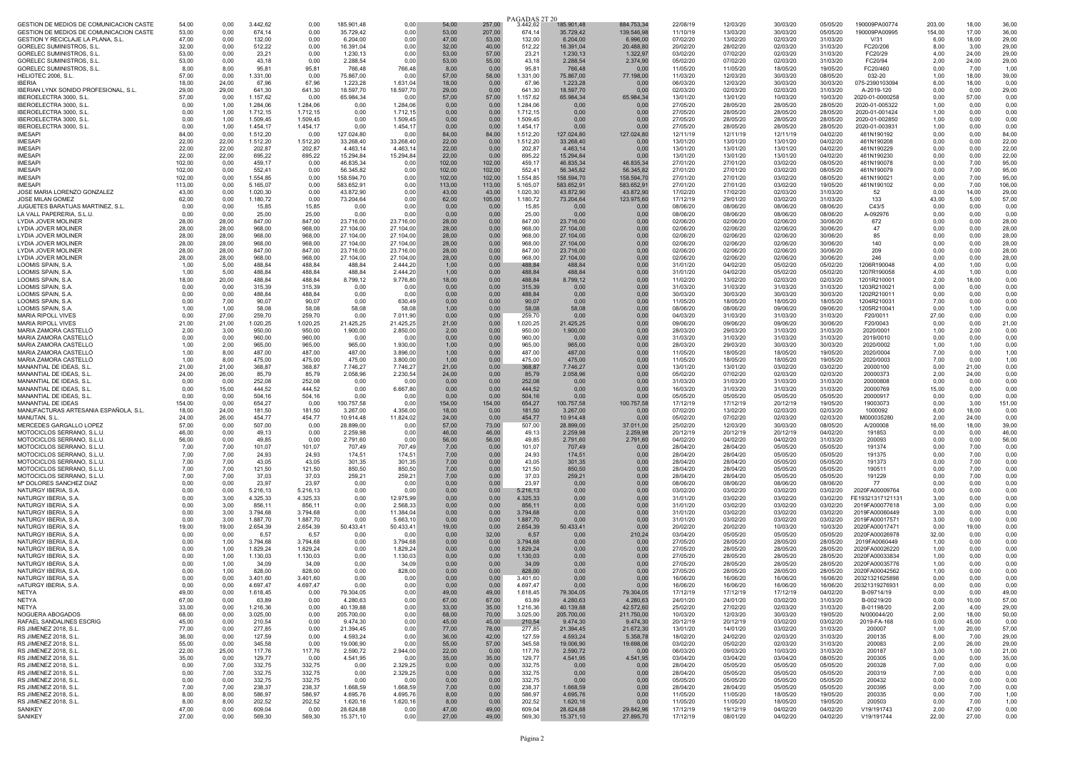| GESTION DE MEDIOS DE COMUNICACION CASTE                                       | 54,00           | 0,00           | 3.442,62             | 0.00                 | 185.901,48              | 0,00                   | 54,00           | 257,00          | PAGADAS 2T 20<br>3.442,62 | 185.901,48              | 884.753,34              | 22/08/19             | 12/03/20             | 30/03/20             | 05/05/20             | 190009PA00774                    | 203,00         | 18,00          | 36,00           |
|-------------------------------------------------------------------------------|-----------------|----------------|----------------------|----------------------|-------------------------|------------------------|-----------------|-----------------|---------------------------|-------------------------|-------------------------|----------------------|----------------------|----------------------|----------------------|----------------------------------|----------------|----------------|-----------------|
| GESTION DE MEDIOS DE COMUNICACION CASTE<br>GESTION Y RECICLAJE LA PLANA, S.L. | 53,00<br>47.00  | 0.00<br>0,00   | 674,14<br>132,00     | 0.00<br>0,00         | 35.729,42<br>6.204,00   | 0.00<br>0.00           | 53.00<br>47,00  | 207,00<br>53,00 | 674,14<br>132,00          | 35.729,42<br>6.204,00   | 139.546,98<br>6.996,00  | 11/10/19<br>07/02/20 | 13/03/20<br>13/02/20 | 30/03/20<br>02/03/20 | 05/05/20<br>31/03/20 | 190009PA00995<br>V/31            | 154.00<br>6,00 | 17,00<br>18,00 | 36,00<br>29.00  |
| GORELEC SUMINISTROS, S.L.                                                     | 32,00           | 0,00           | 512,22               | 0,00                 | 16.391,04               | 0.00                   | 32,00           | 40,00           | 512,22                    | 16.391,04               | 20.488,80               | 20/02/20             | 28/02/20             | 02/03/20             | 31/03/20             | FC20/206                         | 8,00           | 3,00           | 29,00           |
| <b>GORELEC SUMINISTROS, S.L.</b>                                              | 53,00           | 0,00           | 23,21                | 0,00                 | 1.230,13                | 0.00                   | 53.00           | 57,00           | 23,21                     | 1.230,13                | 1.322.97                | 03/02/20             | 07/02/20             | 02/03/20             | 31/03/20             | FC20/29                          | 4,00           | 24,00          | 29,00           |
| GORELEC SUMINISTROS, S.L.                                                     | 53,00           | 0,00           | 43,18                | 0,00                 | 2.288,54                | 0,00                   | 53,00           | 55,00           | 43,18                     | 2.288,54                | 2.374,90                | 05/02/20             | 07/02/20             | 02/03/20             | 31/03/20             | FC20/94                          | 2,00           | 24,00          | 29,00           |
| GORELEC SUMINISTROS, S.L.                                                     | 8.00            | 8,00           | 95.81                | 95,81                | 766.48                  | 766,48                 | 8.00            | 0,00            | 95.81                     | 766,48                  | 0.00                    | 11/05/20             | 11/05/20             | 18/05/20             | 19/05/20             | FC20/460                         | 0,00           | 7,00           | 1,00            |
| HELIOTEC 2006, S.L.<br><b>IBFRIA</b>                                          | 57,00<br>18,00  | 0,00<br>24,00  | 1.331,00<br>67.96    | 0,00<br>67,96        | 75.867,00<br>1.223,28   | 0.00<br>1.631,04       | 57,00<br>18,00  | 58,00<br>0,00   | 1.331,00<br>67,96         | 75.867,00<br>1.223,28   | 77.198,00<br>0,00       | 11/03/20<br>06/03/20 | 12/03/20<br>12/03/20 | 30/03/20<br>30/03/20 | 08/05/20<br>30/03/20 | 032-20<br>075-2390103094         | 1,00<br>6,00   | 18,00<br>18,00 | 39,00<br>0,00   |
| IBERIAN LYNX SONIDO PROFESIONAL, S.L.                                         | 29.00           | 29,00          | 641,30               | 641,30               | 18.597,70               | 18.597,70              | 29.00           | 0.00            | 641.30                    | 18.597,70               | 0.00                    | 02/03/20             | 02/03/20             | 02/03/20             | 31/03/20             | A-2019-120                       | 0,00           | 0.00           | 29,00           |
| IBEROELECTRA 3000, S.L.                                                       | 57,00           | 0,00           | 1.157,62             | 0,00                 | 65.984,34               | 0.00                   | 57,00           | 57,00           | 1.157,62                  | 65.984,34               | 65.984,34               | 13/01/20             | 13/01/20             | 10/03/20             | 10/03/20             | 2020-01-0000258                  | 0,00           | 57,00          | 0,00            |
| IBEROELECTRA 3000, S.L.                                                       | 0,00            | 1,00           | 1.284,06             | 1.284,06             | 0.00                    | 1.284,06               | 0,00            | 0,00            | 1.284,06                  | 0,00                    | 0.00                    | 27/05/20             | 28/05/20             | 28/05/20             | 28/05/20             | 2020-01-005322                   | 1,00           | 0,00           | 0,00            |
| IBEROELECTRA 3000, S.L.<br>IBEROELECTRA 3000, S.L.                            | 0.00<br>0,00    | 1.00<br>1,00   | 1.712,15<br>1.509,45 | 1.712,15<br>1.509,45 | 0,00<br>0,00            | 1.712,15<br>1.509,45   | 0.00<br>0,00    | 0,00<br>0,00    | 1.712,15<br>1.509,45      | 0.00<br>0.00            | 0,00<br>0,00            | 27/05/20<br>27/05/20 | 28/05/20<br>28/05/20 | 28/05/20<br>28/05/20 | 28/05/20<br>28/05/20 | 2020-01-001424<br>2020-01-002850 | 1,00<br>1,00   | 0.00<br>0,00   | 0,00<br>0,00    |
| IBEROELECTRA 3000, S.L.                                                       | 0,00            | 1,00           | 1.454,17             | 1.454,17             | 0,00                    | 1.454,17               | 0,00            | 0,00            | 1.454,17                  | 0.00                    | 0,00                    | 27/05/20             | 28/05/20             | 28/05/20             | 28/05/20             | 2020-01-00393                    | 1,00           | 0,00           | 0,00            |
| <b>IMFSAPI</b>                                                                | 84,00           | 0,00           | 1.512,20             | 0.00                 | 127.024,80              | 0.00                   | 84,00           | 84,00           | 1.512,20                  | 127.024,80              | 127.024,80              | 12/11/19             | 12/11/19             | 12/11/19             | 04/02/20             | 461N190192                       | 0,00           | 0,00           | 84,00           |
| <b>IMESAPI</b>                                                                | 22,00           | 22,00          | 1.512,20             | 1.512,20             | 33.268,40               | 33.268,40              | 22,00           | 0,00            | 1.512,20                  | 33.268,40               | 0.00                    | 13/01/20             | 13/01/20             | 13/01/20             | 04/02/20             | 461N190208                       | 0,00           | 0,00           | 22,00           |
| <b>IMESAPI</b><br><b>IMESAPI</b>                                              | 22.00<br>22.00  | 22,00          | 202,87               | 202,87               | 4.463,14<br>15.294,84   | 4.463.14<br>15.294,84  | 22,00<br>22.00  | 0,00            | 202.87<br>695,22          | 4.463.14<br>15.294,84   | 0,00<br>0.00            | 13/01/20<br>13/01/20 | 13/01/20<br>13/01/20 | 13/01/20<br>13/01/20 | 04/02/20<br>04/02/20 | 461N190229<br>461N190230         | 0,00           | 0,00<br>0,00   | 22,00<br>22,00  |
| <b>IMESAPI</b>                                                                | 102,00          | 22,00<br>0,00  | 695,22<br>459,17     | 695,22<br>0,00       | 46.835,34               | 0.00                   | 102,00          | 0,00<br>102,00  | 459,17                    | 46.835,34               | 46.835,34               | 27/01/20             | 27/01/20             | 03/02/20             | 08/05/20             | 461N190078                       | 0,00<br>0,00   | 7,00           | 95,00           |
| <b>IMFSAPI</b>                                                                | 102.00          | 0.00           | 552,41               | 0,00                 | 56.345,82               | 0.00                   | 102.00          | 102,00          | 552,41                    | 56.345,82               | 56.345,82               | 27/01/20             | 27/01/20             | 03/02/20             | 08/05/20             | 461N190079                       | 0,00           | 7,00           | 95,00           |
| <b>IMESAPI</b>                                                                | 102,00          | 0,00           | 1.554,85             | 0,00                 | 158.594,70              | 0.00                   | 102,00          | 102,00          | 1.554,85                  | 158.594,70              | 158.594,70              | 27/01/20             | 27/01/20             | 03/02/20             | 08/05/20             | 461N190021                       | 0,00           | 7,00           | 95,00           |
| <b>IMFSAPI</b><br>JOSE MARIA LORENZO GONZALEZ                                 | 113,00<br>43.00 | 0,00<br>0.00   | 5.165,07<br>1.020.30 | 0,00<br>0.00         | 583.652,91<br>43.872,90 | 0,00<br>0.00           | 113,00<br>43.00 | 113,00<br>43.00 | 5.165,07<br>1.020,30      | 583.652,91<br>43,872.90 | 583.652,91<br>43.872,90 | 27/01/20<br>17/02/20 | 27/01/20<br>17/02/20 | 03/02/20<br>02/03/20 | 19/05/20<br>31/03/20 | 461N190102<br>52                 | 0,00<br>0.00   | 7,00<br>14.00  | 106,00<br>29.00 |
| JOSE MILAN GOMEZ                                                              | 62,00           | 0,00           | 1.180,72             | 0,00                 | 73.204,64               | 0,00                   | 62,00           | 105,00          | 1.180,72                  | 73.204,64               | 123.975,60              | 17/12/19             | 29/01/20             | 03/02/20             | 31/03/20             | 133                              | 43,00          | 5,00           | 57,00           |
| JUGUETES BARATIJAS MARTINEZ, S.L                                              | 0,00            | 0,00           | 15,85                | 15,85                | 0,00                    | 0,00                   | 0,00            | 0,00            | 15,85                     | 0,00                    | 0,00                    | 08/06/20             | 08/06/20             | 08/06/20             | 08/06/20             | C43/5                            | 0,00           | 0,00           | 0,00            |
| I A VALL PAPERERIA, S.L.U.                                                    | 0.00            | 0.00           | 25.00                | 25,00                | 0.00                    | 0.00                   | 0.00            | 0,00            | 25,00                     | 0.00                    | 0.00                    | 08/06/20             | 08/06/20             | 08/06/20             | 08/06/20             | A-092976                         | 0,00           | 0.00           | 0,00            |
| LYDIA JOVER MOLINER                                                           | 28,00           | 28,00          | 847,00               | 847,00               | 23.716,00               | 23.716,00              | 28,00           | 0,00            | 847,00                    | 23.716,00               | 0,00                    | 02/06/20             | 02/06/20             | 02/06/20             | 30/06/20             | 672                              | 0,00           | 0,00           | 28,00           |
| LYDIA JOVER MOLINER<br>LYDIA JOVER MOLINER                                    | 28.00<br>28.00  | 28.00<br>28,00 | 968.00<br>968,00     | 968,00<br>968,00     | 27.104,00<br>27.104,00  | 27.104.00<br>27.104.00 | 28.00<br>28.00  | 0,00<br>0,00    | 968.00<br>968,00          | 27.104,00<br>27.104,00  | 0,00<br>0,00            | 02/06/20<br>02/06/20 | 02/06/20<br>02/06/20 | 02/06/20<br>02/06/20 | 30/06/20<br>30/06/20 | 47<br>85                         | 0,00<br>0,00   | 0,00<br>0,00   | 28,00<br>28,00  |
| LYDIA JOVER MOLINER                                                           | 28,00           | 28,00          | 968,00               | 968,00               | 27.104,00               | 27.104,00              | 28,00           | 0,00            | 968,00                    | 27.104,00               | 0,00                    | 02/06/20             | 02/06/20             | 02/06/20             | 30/06/20             | 140                              | 0,00           | 0,00           | 28,00           |
| LYDIA JOVER MOLINER                                                           | 28.00           | 28,00          | 847.00               | 847.00               | 23.716,00               | 23.716.00              | 28.00           | 0.00            | 847.00                    | 23,716.00               | 0.00                    | 02/06/20             | 02/06/20             | 02/06/20             | 30/06/20             | 209                              | 0,00           | 0.00           | 28,00           |
| LYDIA JOVER MOLINER                                                           | 28.00           | 28,00          | 968,00               | 968,00               | 27.104,00               | 27.104.00              | 28.00           | 0,00            | 968.00                    | 27.104,00               | 0,00                    | 02/06/20             | 02/06/20             | 02/06/20             | 30/06/20             | 246                              | 0,00           | 0,00           | 28,00           |
| LOOMIS SPAIN, S.A.<br><b>LOOMIS SPAIN, S.A</b>                                | 1.00<br>1.00    | 5,00<br>5,00   | 488,84<br>488,84     | 488,84<br>488,84     | 488,84<br>488,84        | 2.444,20<br>2.444,20   | 1,00<br>1.00    | 0,00<br>0,00    | 488,84<br>488,84          | 488,84<br>488.84        | 0,00<br>0,00            | 31/01/20<br>31/01/20 | 04/02/20<br>04/02/20 | 05/02/20<br>05/02/20 | 05/02/20<br>05/02/20 | 1206R190048<br>1207R190058       | 4,00<br>4,00   | 1,00<br>1,00   | 0,00<br>0,00    |
| LOOMIS SPAIN, S.A                                                             | 18,00           | 20,00          | 488,84               | 488,84               | 8.799,12                | 9.776,80               | 18,00           | 0,00            | 488.84                    | 8.799,12                | 0,00                    | 11/02/20             | 13/02/20             | 02/03/20             | 02/03/20             | 1201R210001                      | 2,00           | 18,00          | 0,00            |
| <b>LOOMIS SPAIN, S.A.</b>                                                     | 0,00            | 0,00           | 315,39               | 315,39               | 0,00                    | 0,00                   | 0,00            | 0,00            | 315,39                    | 0.00                    | 0,00                    | 31/03/20             | 31/03/20             | 31/03/20             | 31/03/20             | 1203R210021                      | 0,00           | 0,00           | 0,00            |
| LOOMIS SPAIN, S.A                                                             | 0.00            | 0,00           | 488,84               | 488,84               | 0,00                    | 0.00                   | 0.00            | 0,00            | 488.84                    | 0.00                    | 0,00                    | 30/03/20             | 30/03/20             | 30/03/20             | 30/03/20             | 1202R210011                      | 0,00           | 0,00           | 0,00            |
| LOOMIS SPAIN, S.A.<br>LOOMIS SPAIN, S.A.                                      | 0,00<br>1,00    | 7,00<br>1,00   | 90,07<br>58,08       | 90,07<br>58,08       | 0,00<br>58,08           | 630,49<br>58.08        | 0,00<br>1,00    | 0,00<br>0,00    | 90,07<br>58.08            | 0,00<br>58,08           | 0,00<br>0,00            | 11/05/20<br>08/06/20 | 18/05/20<br>08/06/20 | 18/05/20<br>09/06/20 | 18/05/20<br>09/06/20 | 1204R210031<br>1205R21004        | 7,00<br>0,00   | 0,00<br>1,00   | 0,00<br>0,00    |
| <b>MARIA RIPOLL VIVES</b>                                                     | 0,00            | 27,00          | 259,70               | 259,70               | 0,00                    | 7.011.90               | 0,00            | 0,00            | 259,70                    | 0.00                    | 0,00                    | 04/03/20             | 31/03/20             | 31/03/20             | 31/03/20             | F20/0011                         | 27,00          | 0,00           | 0,00            |
| MARIA RIPOLL VIVES                                                            | 21,00           | 21,00          | 1.020,25             | 1.020,25             | 21.425,25               | 21.425,25              | 21,00           | 0,00            | 1.020,25                  | 21.425,25               | 0,00                    | 09/06/20             | 09/06/20             | 09/06/20             | 30/06/20             | F20/0043                         | 0,00           | 0,00           | 21,00           |
| MARIA ZAMORA CASTELLÓ                                                         | 2,00            | 3,00           | 950,00               | 950,00               | 1.900,00                | 2.850,00               | 2.00            | 0,00            | 950,00                    | 1.900,00                | 0,00                    | 28/03/20             | 29/03/20             | 31/03/20             | 31/03/20             | 2020/0001                        | 1,00           | 2.00           | 0,00            |
| MARIA ZAMORA CASTELLÓ<br>MARIA ZAMORA CASTELLÓ                                | 0.00<br>1.00    | 0.00<br>2,00   | 960,00<br>965,00     | 960.00<br>965,00     | 0,00<br>965,00          | 0.00<br>1.930,00       | 0.00<br>1,00    | 0.00<br>0,00    | 960.00<br>965,00          | 0.00<br>965,00          | 0,00<br>0,00            | 31/03/20<br>28/03/20 | 31/03/20<br>29/03/20 | 31/03/20<br>30/03/20 | 31/03/20<br>30/03/20 | 2019/0010<br>2020/0002           | 0,00<br>1,00   | 0,00<br>1,00   | 0,00<br>0,00    |
| MARIA ZAMORA CASTELLÓ                                                         | 1.00            | 8,00           | 487,00               | 487,00               | 487,00                  | 3.896.00               | 1.00            | 0,00            | 487,00                    | 487.00                  | 0,00                    | 11/05/20             | 18/05/20             | 18/05/20             | 19/05/20             | 2020/0004                        | 7,00           | 0,00           | 1,00            |
| MARIA ZAMORA CASTELLO                                                         | 1,00            | 8,00           | 475,00               | 475,00               | 475,00                  | 3.800,00               | 1,00            | 0,00            | 475,00                    | 475,00                  | 0,00                    | 11/05/20             | 18/05/20             | 18/05/20             | 19/05/20             | 2020/0003                        | 7,00           | 0.00           | 1,00            |
| MANANTIAL DE IDEAS, S.L.<br>MANANTIAL DE IDEAS, S.L.                          | 21,00<br>24.00  | 21,00<br>26.00 | 368,87<br>85.79      | 368,87               | 7.746,27                | 7.746,27               | 21,00<br>24,00  | 0,00<br>0,00    | 368,87<br>85.79           | 7.746,27<br>2.058,96    | 0,00<br>0,00            | 13/01/20<br>05/02/20 | 13/01/20             | 03/02/20<br>02/03/20 | 03/02/20<br>02/03/20 | 20000100<br>20000373             | 0,00<br>2,00   | 21,00<br>24,00 | 0,00<br>0,00    |
| MANANTIAL DE IDEAS, S.L.                                                      | 0,00            | 0,00           | 252,08               | 85,79<br>252,08      | 2.058,96<br>0,00        | 2.230,54<br>0.00       | 0,00            | 0,00            | 252,08                    | 0,00                    | 0,00                    | 31/03/20             | 07/02/20<br>31/03/20 | 31/03/20             | 31/03/20             | 20000808                         | 0,00           | 0,00           | 0,00            |
| MANANTIAL DE IDEAS, S.L.                                                      | 0,00            | 15,00          | 444,52               | 444,52               | 0,00                    | 6.667,80               | 0,00            | 0,00            | 444,52                    | 0,00                    | 0,00                    | 16/03/20             | 31/03/20             | 31/03/20             | 31/03/20             | 20000769                         | 15,00          | 0,00           | 0,00            |
| MANANTIAL DE IDEAS, S.L.                                                      | 0,00            | 0,00           | 504,16               | 504,16               | 0,00                    | 0.00                   | 0.00            | 0,00            | 504.16                    | 0.00                    | 0.00                    | 05/05/20             | 05/05/20             | 05/05/20             | 05/05/20             | 20000917                         | 0,00           | 0,00           | 0,00            |
| MANANTIAL DE IDEAS<br>MANUFACTURAS ARTESANIA ESPAÑOLA, S.L                    | 154,00<br>18.00 | 0,00<br>24,00  | 654,27<br>181,50     | 0,00<br>181,50       | 100.757,58<br>3.267.00  | 0.00<br>4.356.00       | 154,00<br>18.00 | 154,00<br>0,00  | 654,27<br>181.50          | 100.757,58<br>3.267,00  | 100.757,58<br>0.00      | 17/12/19<br>07/02/20 | 17/12/19<br>13/02/20 | 20/12/19<br>02/03/20 | 19/05/20<br>02/03/20 | 19003073<br>1000092              | 0,00<br>6,00   | 3,00<br>18,00  | 151,00<br>0,00  |
| MANUTAN S.I.                                                                  | 24.00           | 26,00          | 454,77               | 454,77               | 10.914,48               | 11.824,02              | 24.00           | 0,00            | 454,77                    | 10.914.48               | 0.00                    | 05/02/20             | 07/02/20             | 02/03/20             | 02/03/20             | M000035280                       | 2,00           | 24.00          | 0,00            |
| MERCEDES GARGALLO LOPEZ                                                       | 57,00           | 0,00           | 507,00               | 0,00                 | 28.899,00               | 0.00                   | 57,00           | 73,00           | 507,00                    | 28.899,00               | 37.011,00               | 25/02/20             | 12/03/20             | 30/03/20             | 08/05/20             | A/200008                         | 16,00          | 18,00          | 39,00           |
| MOTOCICLOS SERRANO, S.L.U                                                     | 46.00           | 0,00           | 49.13                | 0.00                 | 2.259.98                | 0.00                   | 46.00           | 46,00           | 49.13                     | 2.259.98                | 2.259.98                | 20/12/19             | 20/12/19             | 20/12/19             | 04/02/20             | 191853                           | 0,00           | 0.00           | 46,00           |
| MOTOCICLOS SERRANO, S.L.U<br>MOTOCICLOS SERRANO, S.L.U                        | 56.00<br>7,00   | 0,00<br>7,00   | 49,85<br>101,07      | 0.00<br>101,07       | 2.791,60<br>707,49      | 0.00<br>707,49         | 56.00<br>7,00   | 56,00<br>0,00   | 49,85<br>101,07           | 2.791,60<br>707,49      | 2.791,60<br>0,00        | 04/02/20<br>28/04/20 | 04/02/20<br>28/04/20 | 04/02/20<br>05/05/20 | 31/03/20<br>05/05/20 | 200093<br>191374                 | 0,00<br>0,00   | 0,00<br>7,00   | 56,00<br>0,00   |
| MOTOCICLOS SERRANO, S.L.U                                                     | 7.00            | 7,00           | 24.93                | 24.93                | 174.51                  | 174.51                 | 7.00            | 0,00            | 24.93                     | 174.51                  | 0.00                    | 28/04/20             | 28/04/20             | 05/05/20             | 05/05/20             | 191375                           | 0,00           | 7.00           | 0,00            |
| MOTOCICLOS SERRANO, S.L.U.                                                    | 7,00            | 7,00           | 43,05                | 43,05                | 301,35                  | 301,35                 | 7,00            | 0,00            | 43,05                     | 301,35                  | 0,00                    | 28/04/20             | 28/04/20             | 05/05/20             | 05/05/20             | 191373                           | 0,00           | 7,00           | 0,00            |
| MOTOCICLOS SERRANO, S.L.U.<br>MOTOCICLOS SERRANO, S.L.U                       | 7,00<br>7,00    | 7,00<br>7,00   | 121,50<br>37,03      | 121,50<br>37,03      | 850,50<br>259,21        | 850,50<br>259,21       | 7,00<br>7,00    | 0,00<br>0,00    | 121,50<br>37,03           | 850,50<br>259,21        | 0,00<br>0,00            | 28/04/20<br>28/04/20 | 28/04/20<br>28/04/20 | 05/05/20<br>05/05/20 | 05/05/20<br>05/05/20 | 190511<br>191229                 | 0,00<br>0,00   | 7,00<br>7,00   | 0,00<br>0,00    |
| M <sup>®</sup> DOLORES SANCHEZ DIAZ                                           | 0,00            | 0,00           | 23,97                | 23,97                | 0,00                    | 0,00                   | 0,00            | 0,00            | 23,97                     | 0,00                    | 0,00                    | 08/06/20             | 08/06/20             | 08/06/20             | 08/06/20             | 77                               | 0,00           | 0,00           | 0,00            |
| NATURGY IBERIA, S.A.                                                          | 0,00            | 0,00           | 5.216,13             | 5.216.13             | 0,00                    | 0.00                   | 0.00            | 0,00            | 5.216,13                  | 0.00                    | 0,00                    | 03/02/20             | 03/02/20             | 03/02/20             | 03/02/20             | 2020FA00009764                   | 0,00           | 0.00           | 0.00            |
| NATURGY IBFRIA S A                                                            | 0,00            | 3,00           | 4.325,33             | 4.325,33             | 0,00                    | 12.975,99              | 0,00            | 0,00            | 4.325.33                  | 0.00                    | 0,00                    | 31/01/20             | 03/02/20             | 03/02/20             | 03/02/20             | FE19321317121131                 | 3,00           | 0,00           | 0,00            |
| NATURGY IBERIA, S.A.<br>NATURGY IBERIA, S.A                                   | 0,00<br>0,00    | 3.00<br>3,00   | 856,11<br>3.794,68   | 856,11<br>3.794,68   | 0,00<br>0,00            | 2.568,33<br>11.384,04  | 0,00<br>0.00    | 0,00<br>0,00    | 856,11<br>3.794,68        | 0,00<br>0.00            | 0,00<br>0,00            | 31/01/20<br>31/01/20 | 03/02/20<br>03/02/20 | 03/02/20<br>03/02/20 | 03/02/20<br>03/02/20 | 2019FA00077618<br>2019FA00060449 | 3,00<br>3,00   | 0,00<br>0.00   | 0,00<br>0.00    |
| NATURGY IBERIA, S.A                                                           | 0,00            | 3,00           | 1.887,70             | 1.887,70             | 0,00                    | 5.663.10               | 0,00            | 0,00            | 1.887,70                  | 0.00                    | 0,00                    | 31/01/20             | 03/02/20             | 03/02/20             | 03/02/20             | 2019FA00017571                   | 3,00           | 0,00           | 0,00            |
| NATURGY IBERIA, S.A.                                                          | 19,00           | 19,00          | 2.654,39             | 2.654,39             | 50.433,41               | 50.433,41              | 19,00           | 0,00            | 2.654,39                  | 50.433,41               | 0,00                    | 20/02/20             | 20/02/20             | 10/03/20             | 10/03/20             | 2020FA0001747                    | 0,00           | 19,00          | 0.00            |
| NATURGY IBERIA, S.A.                                                          | 0.00            | 0.00           | 6,57                 | 6.57                 | 0.00                    | 0.00                   | 0,00            | 32,00           | 6.57                      | 0.00                    | 210,24                  | 03/04/20             | 05/05/20             | 05/05/20             | 05/05/20             | 2020FA00026978                   | 32,00          | 0,00           | 0,00            |
| NATURGY IBERIA, S.A.<br>NATURGY IBERIA, S.A.                                  | 0,00<br>0,00    | 1,00<br>1,00   | 3.794,68<br>1.829,24 | 3.794,68<br>1.829,24 | 0,00<br>0,00            | 3.794,68<br>1.829,24   | 0,00<br>0,00    | 0,00<br>0,00    | 3.794,68<br>1.829,24      | 0,00<br>0,00            | 0.00<br>0,00            | 27/05/20<br>27/05/20 | 28/05/20<br>28/05/20 | 28/05/20<br>28/05/20 | 28/05/20<br>28/05/20 | 2019FA0060449<br>2020FA00026220  | 1,00<br>1,00   | 0,00<br>0,00   | 0,00<br>0,00    |
| NATURGY IBERIA, S.A                                                           | 0.00            | 1.00           | 1.130,03             | 1.130,03             | 0,00                    | 1.130,03               | 0.00            | 0,00            | 1.130.03                  | 0.00                    | 0,00                    | 27/05/20             | 28/05/20             | 28/05/20             | 28/05/20             | 2020FA00033834                   | 1,00           | 0,00           | 0,00            |
| NATURGY IBERIA, S.A.                                                          | 0,00            | 1,00           | 34,09                | 34.09                | 0,00                    | 34,09                  | 0,00            | 0,00            | 34,09                     | 0,00                    | 0,00                    | 27/05/20             | 28/05/20             | 28/05/20             | 28/05/20             | 2020EA00035776                   | 1,00           | 0,00           | 0,00            |
| NATURGY IBERIA, S.A.                                                          | 0.00            | 1.00           | 828,00               | 828,00               | 0,00                    | 828,00                 | 0,00            | 0,00            | 828,00                    | 0.00                    | 0,00                    | 27/05/20             | 28/05/20             | 28/05/20             | 28/05/20             | 2020FA00042562                   | 1,00           | 0.00           | 0,00            |
| NATURGY IBERIA, S.A.<br>nATURGY IBERIA, S.A.                                  | 0.00<br>0,00    | 0.00<br>0,00   | 3.401.60<br>4.697,47 | 3.401.60<br>4.697,47 | 0.00<br>0.00            | 0.00<br>0,00           | 0.00<br>0.00    | 0.00<br>0,00    | 3.401.60<br>4 697 47      | 0.00<br>0.00            | 0.00<br>0.00            | 16/06/20<br>16/06/20 | 16/06/20<br>16/06/20 | 16/06/20<br>16/06/20 | 16/06/20<br>16/06/20 | 20321321625898<br>20321319276931 | 0.00<br>0,00   | 0.00<br>0.00   | 0,00<br>0,00    |
| NETYA                                                                         | 49.00           | 0,00           | 1.618,45             | 0.00                 | 79.304,05               | 0.00                   | 49.00           | 49,00           | 1.618,45                  | 79.304,05               | 79.304,05               | 17/12/19             | 17/12/19             | 17/12/19             | 04/02/20             | B-09714/19                       | 0,00           | 0.00           | 49,00           |
| NETYA                                                                         | 67,00           | 0.00           | 63,89                | 0.00                 | 4.280,63                | 0.00                   | 67.00           | 67.00           | 63,89                     | 4.280,63                | 4.280,63                | 24/01/20             | 24/01/20             | 03/02/20             | 31/03/20             | B-00219/20                       | 0,00           | 10.00          | 57,00           |
| NETYA<br>NOGUERA ABOGADOS                                                     | 33,00           | 0,00           | 1.216,36             | 0,00                 | 40.139,88               | 0.00                   | 33,00           | 35,00           | 1.216,36                  | 40.139,88               | 42.572,60               | 25/02/20             | 27/02/20             | 02/03/20             | 31/03/20             | B-01198/20                       | 2,00           | 4,00           | 29,00           |
| RAFAEL SANDALINES ESCRIG                                                      | 68.00<br>45,00  | 0.00<br>0,00   | 3.025,00<br>210,54   | 0,00<br>0,00         | 205.700,00<br>9.474,30  | 0.00<br>0,00           | 68,00<br>45,00  | 70,00<br>45,00  | 3.025,00<br>210,54        | 205.700,00<br>9.474,30  | 211.750,00<br>9.474,30  | 10/03/20<br>20/12/19 | 12/03/20<br>20/12/19 | 30/03/20<br>03/02/20 | 19/05/20<br>03/02/20 | N/000044/20<br>2019-FA-168       | 2,00<br>0,00   | 18,00<br>45,00 | 50,00<br>0,00   |
| RS JIMENEZ 2018, S.L.                                                         | 77,00           | 0,00           | 277,85               | 0,00                 | 21.394,45               | 0,00                   | 77,00           | 78,00           | 277,85                    | 21.394,45               | 21.672,30               | 13/01/20             | 14/01/20             | 03/02/20             | 31/03/20             | 200007                           | 1,00           | 20,00          | 57,00           |
| RS JIMENEZ 2018, S.L.                                                         | 36,00           | 0,00           | 127,59               | 0,00                 | 4.593,24                | 0.00                   | 36,00           | 42,00           | 127,59                    | 4.593,24                | 5.358,78                | 18/02/20             | 24/02/20             | 02/03/20             | 31/03/20             | 200135                           | 6,00           | 7.00           | 29,00           |
| RS JIMENEZ 2018, S.L.                                                         | 55,00           | 0,00           | 345,58               | 0,00                 | 19.006,90               | 0,00                   | 55,00           | 57,00           | 345,58                    | 19.006,90               | 19.698,06               | 03/02/20             | 05/02/20             | 02/03/20             | 31/03/20             | 200083                           | 2,00           | 26,00          | 29,00           |
| RS JIMENEZ 2018, S.L.<br>RS JIMENEZ 2018, S.L.                                | 22,00<br>35,00  | 25,00<br>0.00  | 117,76<br>129,77     | 117,76<br>0,00       | 2.590,72<br>4.541,95    | 2.944,00<br>0.00       | 22,00<br>35,00  | 0,00<br>35,00   | 117,76<br>129,77          | 2.590,72<br>4.541,95    | 0,00<br>4.541.95        | 06/03/20<br>03/04/20 | 09/03/20<br>03/04/20 | 10/03/20<br>03/04/20 | 31/03/20<br>08/05/20 | 200187<br>200305                 | 3,00<br>0,00   | 1,00<br>0.00   | 21,00<br>35,00  |
| RS JIMENEZ 2018, S.L.                                                         | 0,00            | 7,00           | 332,75               | 332,75               | 0.00                    | 2.329,25               | 0,00            | 0,00            | 332,75                    | 0,00                    | 0.00                    | 28/04/20             | 05/05/20             | 05/05/20             | 05/05/20             | 200328                           | 7,00           | 0,00           | 0.00            |
| RS JIMENEZ 2018, S.L.                                                         | 0,00            | 7,00           | 332,75               | 332.75               | 0,00                    | 2.329,25               | 0,00            | 0,00            | 332,75                    | 0.00                    | 0,00                    | 28/04/20             | 05/05/20             | 05/05/20             | 05/05/20             | 200319                           | 7,00           | 0.00           | 0,00            |
| RS JIMENEZ 2018, S.L.<br>RS JIMENEZ 2018, S.L.                                | 0,00<br>7,00    | 0,00<br>7,00   | 332,75<br>238,37     | 332,75<br>238,37     | 0,00<br>1.668,59        | 0.00<br>1.668,59       | 0,00<br>7,00    | 0,00<br>0,00    | 332,75<br>238,37          | 0.00<br>1.668,59        | 0,00<br>0,00            | 05/05/20<br>28/04/20 | 05/05/20<br>28/04/20 | 05/05/20<br>05/05/20 | 05/05/20<br>05/05/20 | 200432<br>200395                 | 0,00<br>0,00   | 0,00<br>7,00   | 0,00<br>0,00    |
| RS JIMENEZ 2018, S.L.                                                         | 8,00            | 8,00           | 586,97               | 586,97               | 4.695,76                | 4.695.76               | 8,00            | 0,00            | 586,97                    | 4.695.76                | 0,00                    | 11/05/20             | 11/05/20             | 18/05/20             | 19/05/20             | 200335                           | 0,00           | 7,00           | 1,00            |
| RS JIMENEZ 2018, S.L.                                                         | 8,00            | 8,00           | 202,52               | 202,52               | 1.620,16                | 1.620, 16              | 8.00            | 0,00            | 202,52                    | 1.620.16                | 0.00                    | 11/05/20             | 11/05/20             | 18/05/20             | 19/05/20             | 200503                           | 0,00           | 7,00           | 1,00            |
| SANIKEY<br>SANIKEY                                                            | 47,00<br>27,00  | 0,00<br>0,00   | 609,04<br>569,30     | 0,00<br>569,30       | 28.624,88<br>15.371,10  | 0,00<br>0,00           | 47,00<br>27,00  | 49,00<br>49,00  | 609,04<br>569,30          | 28.624,88<br>15.371,10  | 29.842,96<br>27.895,70  | 17/12/19<br>17/12/19 | 19/12/19<br>08/01/20 | 04/02/20<br>04/02/20 | 04/02/20<br>04/02/20 | V19/191743<br>V19/191744         | 2,00<br>22,00  | 47,00<br>27,00 | 0,00<br>0,00    |
|                                                                               |                 |                |                      |                      |                         |                        |                 |                 |                           |                         |                         |                      |                      |                      |                      |                                  |                |                |                 |